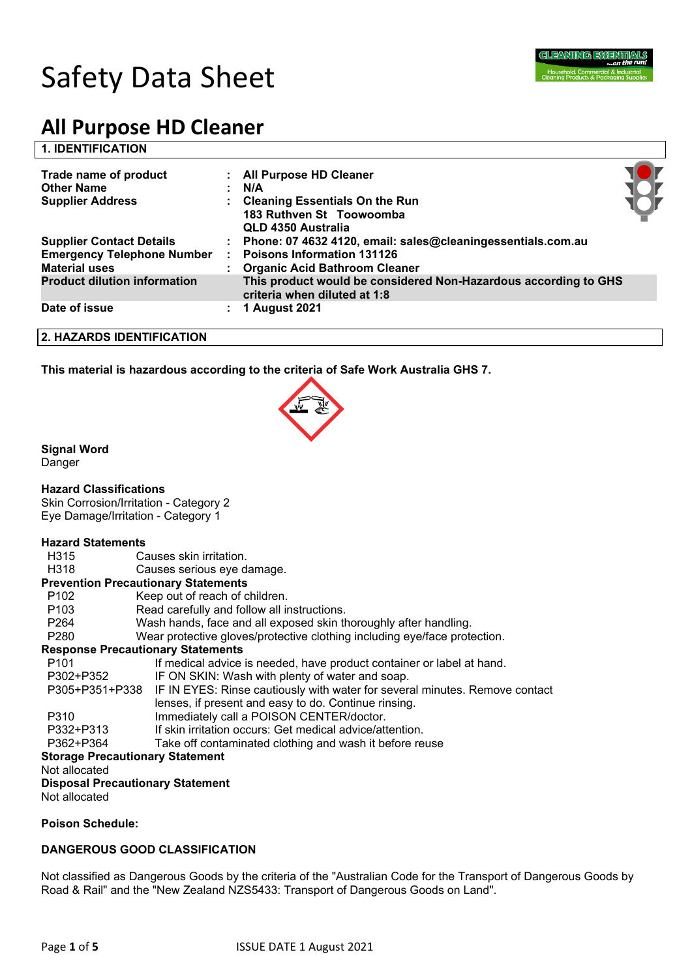

# **All Purpose HD Cleaner**

# **1. IDENTIFICATION**

| Trade name of product<br><b>Other Name</b><br><b>Supplier Address</b> |   | : All Purpose HD Cleaner<br>N/A<br><b>Cleaning Essentials On the Run</b><br>183 Ruthven St Toowoomba<br>QLD 4350 Australia |  |
|-----------------------------------------------------------------------|---|----------------------------------------------------------------------------------------------------------------------------|--|
| <b>Supplier Contact Details</b>                                       |   | Phone: 07 4632 4120, email: sales@cleaningessentials.com.au                                                                |  |
| <b>Emergency Telephone Number</b>                                     | ÷ | <b>Poisons Information 131126</b>                                                                                          |  |
| <b>Material uses</b>                                                  |   | <b>Organic Acid Bathroom Cleaner</b>                                                                                       |  |
| <b>Product dilution information</b>                                   |   | This product would be considered Non-Hazardous according to GHS<br>criteria when diluted at 1:8                            |  |
| Date of issue                                                         | ÷ | <b>1 August 2021</b>                                                                                                       |  |

#### **2. HAZARDS IDENTIFICATION**

**This material is hazardous according to the criteria of Safe Work Australia GHS 7.**



# **Signal Word**

Danger

#### **Hazard Classifications**

Skin Corrosion/Irritation - Category 2 Eye Damage/Irritation - Category 1

#### **Hazard Statements**

- H315 Causes skin irritation.
- H318 Causes serious eye damage.

#### **Prevention Precautionary Statements**

- P102 Keep out of reach of children.
- P103 Read carefully and follow all instructions.
- P264 Wash hands, face and all exposed skin thoroughly after handling.
- P280 Wear protective gloves/protective clothing including eye/face protection.

#### **Response Precautionary Statements**

| P <sub>101</sub>                       | If medical advice is needed, have product container or label at hand.                      |  |  |  |
|----------------------------------------|--------------------------------------------------------------------------------------------|--|--|--|
| P302+P352                              | IF ON SKIN: Wash with plenty of water and soap.                                            |  |  |  |
|                                        | P305+P351+P338 IF IN EYES: Rinse cautiously with water for several minutes. Remove contact |  |  |  |
|                                        | lenses, if present and easy to do. Continue rinsing.                                       |  |  |  |
| P310                                   | Immediately call a POISON CENTER/doctor.                                                   |  |  |  |
| P332+P313                              | If skin irritation occurs: Get medical advice/attention.                                   |  |  |  |
| P362+P364                              | Take off contaminated clothing and wash it before reuse                                    |  |  |  |
| <b>Storage Precautionary Statement</b> |                                                                                            |  |  |  |
| Not allocated                          |                                                                                            |  |  |  |
| Dionagal Dreagutionam, Statemant       |                                                                                            |  |  |  |

**Disposal Precautionary Statement**

Not allocated

# **Poison Schedule:**

# **DANGEROUS GOOD CLASSIFICATION**

Not classified as Dangerous Goods by the criteria of the "Australian Code for the Transport of Dangerous Goods by Road & Rail" and the "New Zealand NZS5433: Transport of Dangerous Goods on Land".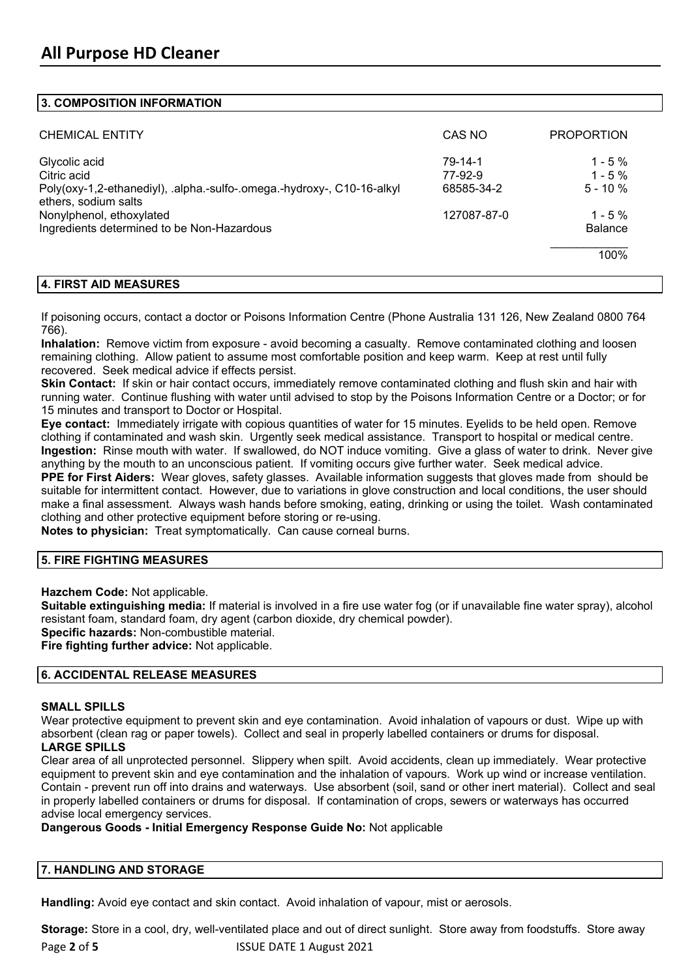# **3. COMPOSITION INFORMATION**

| <b>CHEMICAL ENTITY</b>                                                                                 | CAS NO                           | <b>PROPORTION</b>                    |
|--------------------------------------------------------------------------------------------------------|----------------------------------|--------------------------------------|
| Glycolic acid<br>Citric acid<br>Poly(oxy-1,2-ethanediyl), .alpha.-sulfo-.omega.-hydroxy-, C10-16-alkyl | 79-14-1<br>77-92-9<br>68585-34-2 | $1 - 5\%$<br>$1 - 5%$<br>$5 - 10 \%$ |
| ethers, sodium salts<br>Nonylphenol, ethoxylated<br>Ingredients determined to be Non-Hazardous         | 127087-87-0                      | $1 - 5\%$<br><b>Balance</b>          |
|                                                                                                        |                                  | 100%                                 |

# **4. FIRST AID MEASURES**

If poisoning occurs, contact a doctor or Poisons Information Centre (Phone Australia 131 126, New Zealand 0800 764 766).

**Inhalation:** Remove victim from exposure - avoid becoming a casualty. Remove contaminated clothing and loosen remaining clothing. Allow patient to assume most comfortable position and keep warm. Keep at rest until fully recovered. Seek medical advice if effects persist.

**Skin Contact:** If skin or hair contact occurs, immediately remove contaminated clothing and flush skin and hair with running water. Continue flushing with water until advised to stop by the Poisons Information Centre or a Doctor; or for 15 minutes and transport to Doctor or Hospital.

**Eye contact:** Immediately irrigate with copious quantities of water for 15 minutes. Eyelids to be held open. Remove clothing if contaminated and wash skin. Urgently seek medical assistance. Transport to hospital or medical centre. **Ingestion:** Rinse mouth with water. If swallowed, do NOT induce vomiting. Give a glass of water to drink. Never give anything by the mouth to an unconscious patient. If vomiting occurs give further water. Seek medical advice.

**PPE for First Aiders:** Wear gloves, safety glasses. Available information suggests that gloves made from should be suitable for intermittent contact. However, due to variations in glove construction and local conditions, the user should make a final assessment. Always wash hands before smoking, eating, drinking or using the toilet. Wash contaminated clothing and other protective equipment before storing or re-using.

**Notes to physician:** Treat symptomatically. Can cause corneal burns.

# **5. FIRE FIGHTING MEASURES**

**Hazchem Code:** Not applicable.

**Suitable extinguishing media:** If material is involved in a fire use water fog (or if unavailable fine water spray), alcohol resistant foam, standard foam, dry agent (carbon dioxide, dry chemical powder).

**Specific hazards:** Non-combustible material.

**Fire fighting further advice:** Not applicable.

# **6. ACCIDENTAL RELEASE MEASURES**

#### **SMALL SPILLS**

Wear protective equipment to prevent skin and eve contamination. Avoid inhalation of vapours or dust. Wipe up with absorbent (clean rag or paper towels). Collect and seal in properly labelled containers or drums for disposal.

# **LARGE SPILLS**

Clear area of all unprotected personnel. Slippery when spilt. Avoid accidents, clean up immediately. Wear protective equipment to prevent skin and eye contamination and the inhalation of vapours. Work up wind or increase ventilation. Contain - prevent run off into drains and waterways. Use absorbent (soil, sand or other inert material). Collect and seal in properly labelled containers or drums for disposal. If contamination of crops, sewers or waterways has occurred advise local emergency services.

**Dangerous Goods - Initial Emergency Response Guide No:** Not applicable

#### **7. HANDLING AND STORAGE**

**Handling:** Avoid eye contact and skin contact. Avoid inhalation of vapour, mist or aerosols.

Page 2 of 5 **ISSUE DATE 1 August 2021 Storage:** Store in a cool, dry, well-ventilated place and out of direct sunlight. Store away from foodstuffs. Store away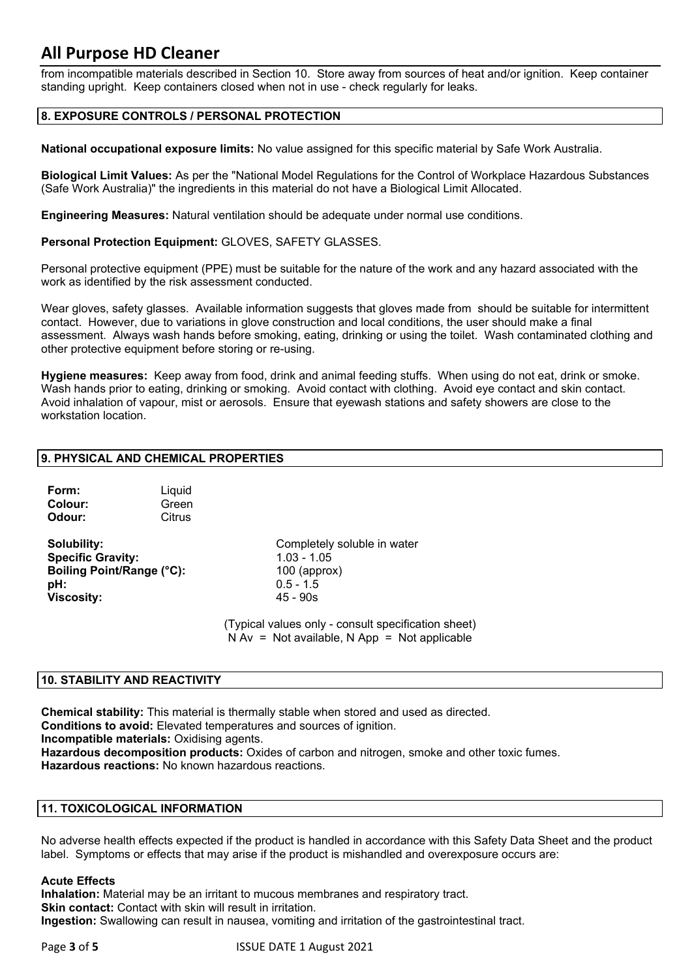# **All Purpose HD Cleaner**

from incompatible materials described in Section 10. Store away from sources of heat and/or ignition. Keep container standing upright. Keep containers closed when not in use - check regularly for leaks.

# **8. EXPOSURE CONTROLS / PERSONAL PROTECTION**

**National occupational exposure limits:** No value assigned for this specific material by Safe Work Australia.

**Biological Limit Values:** As per the "National Model Regulations for the Control of Workplace Hazardous Substances (Safe Work Australia)" the ingredients in this material do not have a Biological Limit Allocated.

**Engineering Measures:** Natural ventilation should be adequate under normal use conditions.

**Personal Protection Equipment:** GLOVES, SAFETY GLASSES.

Personal protective equipment (PPE) must be suitable for the nature of the work and any hazard associated with the work as identified by the risk assessment conducted.

Wear gloves, safety glasses. Available information suggests that gloves made from should be suitable for intermittent contact. However, due to variations in glove construction and local conditions, the user should make a final assessment. Always wash hands before smoking, eating, drinking or using the toilet. Wash contaminated clothing and other protective equipment before storing or re-using.

**Hygiene measures:** Keep away from food, drink and animal feeding stuffs. When using do not eat, drink or smoke. Wash hands prior to eating, drinking or smoking. Avoid contact with clothing. Avoid eye contact and skin contact. Avoid inhalation of vapour, mist or aerosols. Ensure that eyewash stations and safety showers are close to the workstation location.

#### **9. PHYSICAL AND CHEMICAL PROPERTIES**

| Liquid<br>Green |
|-----------------|
| Citrus          |
|                 |

**Specific Gravity:** 1.03 - 1.05 **Boiling Point/Range (°C):** 100 (approx) **pH:** 0.5 - 1.5 **Viscosity:** 45 - 90s

**Solubility:** Completely soluble in water

(Typical values only - consult specification sheet)  $N Av = Not available, N App = Not applicable$ 

# **10. STABILITY AND REACTIVITY**

**Chemical stability:** This material is thermally stable when stored and used as directed. **Conditions to avoid:** Elevated temperatures and sources of ignition. **Incompatible materials:** Oxidising agents. **Hazardous decomposition products:** Oxides of carbon and nitrogen, smoke and other toxic fumes. **Hazardous reactions:** No known hazardous reactions.

#### **11. TOXICOLOGICAL INFORMATION**

No adverse health effects expected if the product is handled in accordance with this Safety Data Sheet and the product label. Symptoms or effects that may arise if the product is mishandled and overexposure occurs are:

#### **Acute Effects**

**Inhalation:** Material may be an irritant to mucous membranes and respiratory tract. **Skin contact:** Contact with skin will result in irritation. **Ingestion:** Swallowing can result in nausea, vomiting and irritation of the gastrointestinal tract.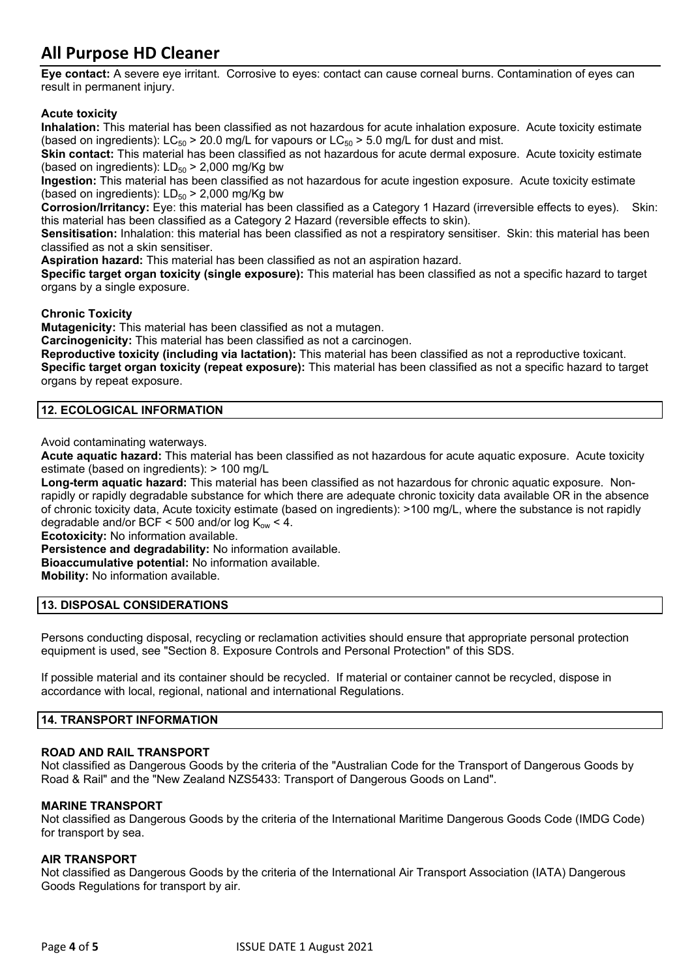# **All Purpose HD Cleaner**

**Eye contact:** A severe eye irritant. Corrosive to eyes: contact can cause corneal burns. Contamination of eyes can result in permanent injury.

# **Acute toxicity**

**Inhalation:** This material has been classified as not hazardous for acute inhalation exposure. Acute toxicity estimate (based on ingredients):  $LC_{50}$  > 20.0 mg/L for vapours or  $LC_{50}$  > 5.0 mg/L for dust and mist.

**Skin contact:** This material has been classified as not hazardous for acute dermal exposure. Acute toxicity estimate (based on ingredients):  $LD_{50}$  > 2,000 mg/Kg bw

**Ingestion:** This material has been classified as not hazardous for acute ingestion exposure. Acute toxicity estimate (based on ingredients):  $LD_{50}$  > 2,000 mg/Kg bw

**Corrosion/Irritancy:** Eye: this material has been classified as a Category 1 Hazard (irreversible effects to eyes). Skin: this material has been classified as a Category 2 Hazard (reversible effects to skin).

**Sensitisation:** Inhalation: this material has been classified as not a respiratory sensitiser. Skin: this material has been classified as not a skin sensitiser.

**Aspiration hazard:** This material has been classified as not an aspiration hazard.

**Specific target organ toxicity (single exposure):** This material has been classified as not a specific hazard to target organs by a single exposure.

**Chronic Toxicity**

**Mutagenicity:** This material has been classified as not a mutagen.

**Carcinogenicity:** This material has been classified as not a carcinogen.

**Reproductive toxicity (including via lactation):** This material has been classified as not a reproductive toxicant. **Specific target organ toxicity (repeat exposure):** This material has been classified as not a specific hazard to target organs by repeat exposure.

# **12. ECOLOGICAL INFORMATION**

Avoid contaminating waterways.

**Acute aquatic hazard:** This material has been classified as not hazardous for acute aquatic exposure. Acute toxicity estimate (based on ingredients): > 100 mg/L

**Long-term aquatic hazard:** This material has been classified as not hazardous for chronic aquatic exposure. Nonrapidly or rapidly degradable substance for which there are adequate chronic toxicity data available OR in the absence of chronic toxicity data, Acute toxicity estimate (based on ingredients): >100 mg/L, where the substance is not rapidly degradable and/or BCF < 500 and/or log  $K_{ow}$  < 4.

**Ecotoxicity:** No information available.

**Persistence and degradability:** No information available.

**Bioaccumulative potential:** No information available.

**Mobility:** No information available.

# **13. DISPOSAL CONSIDERATIONS**

Persons conducting disposal, recycling or reclamation activities should ensure that appropriate personal protection equipment is used, see "Section 8. Exposure Controls and Personal Protection" of this SDS.

If possible material and its container should be recycled. If material or container cannot be recycled, dispose in accordance with local, regional, national and international Regulations.

# **14. TRANSPORT INFORMATION**

# **ROAD AND RAIL TRANSPORT**

Not classified as Dangerous Goods by the criteria of the "Australian Code for the Transport of Dangerous Goods by Road & Rail" and the "New Zealand NZS5433: Transport of Dangerous Goods on Land".

# **MARINE TRANSPORT**

Not classified as Dangerous Goods by the criteria of the International Maritime Dangerous Goods Code (IMDG Code) for transport by sea.

# **AIR TRANSPORT**

Not classified as Dangerous Goods by the criteria of the International Air Transport Association (IATA) Dangerous Goods Regulations for transport by air.